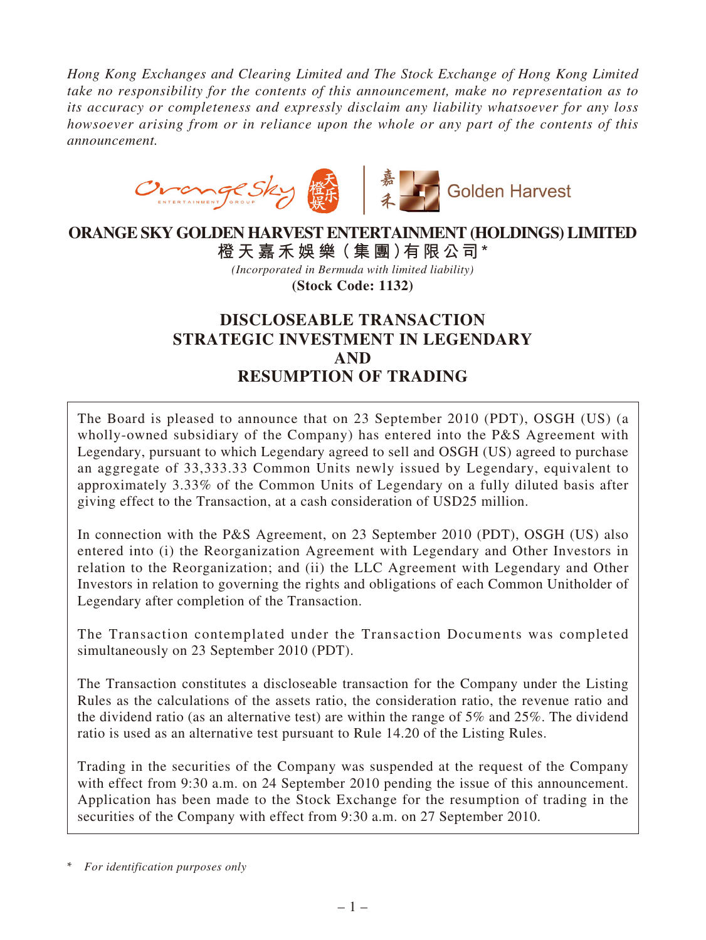*Hong Kong Exchanges and Clearing Limited and The Stock Exchange of Hong Kong Limited take no responsibility for the contents of this announcement, make no representation as to its accuracy or completeness and expressly disclaim any liability whatsoever for any loss howsoever arising from or in reliance upon the whole or any part of the contents of this announcement.*



## **ORANGE SKY GOLDEN HARVEST ENTERTAINMENT (HOLDINGS) LIMITED 橙 天 嘉禾娛 樂(集 團)有限公司\***

*(Incorporated in Bermuda with limited liability)* **(Stock Code: 1132)**

# **DISCLOSEABLE TRANSACTION STRATEGIC INVESTMENT IN LEGENDARY AND RESUMPTION OF TRADING**

The Board is pleased to announce that on 23 September 2010 (PDT), OSGH (US) (a wholly-owned subsidiary of the Company) has entered into the P&S Agreement with Legendary, pursuant to which Legendary agreed to sell and OSGH (US) agreed to purchase an aggregate of 33,333.33 Common Units newly issued by Legendary, equivalent to approximately 3.33% of the Common Units of Legendary on a fully diluted basis after giving effect to the Transaction, at a cash consideration of USD25 million.

In connection with the P&S Agreement, on 23 September 2010 (PDT), OSGH (US) also entered into (i) the Reorganization Agreement with Legendary and Other Investors in relation to the Reorganization; and (ii) the LLC Agreement with Legendary and Other Investors in relation to governing the rights and obligations of each Common Unitholder of Legendary after completion of the Transaction.

The Transaction contemplated under the Transaction Documents was completed simultaneously on 23 September 2010 (PDT).

The Transaction constitutes a discloseable transaction for the Company under the Listing Rules as the calculations of the assets ratio, the consideration ratio, the revenue ratio and the dividend ratio (as an alternative test) are within the range of 5% and 25%. The dividend ratio is used as an alternative test pursuant to Rule 14.20 of the Listing Rules.

Trading in the securities of the Company was suspended at the request of the Company with effect from 9:30 a.m. on 24 September 2010 pending the issue of this announcement. Application has been made to the Stock Exchange for the resumption of trading in the securities of the Company with effect from 9:30 a.m. on 27 September 2010.

<sup>\*</sup> *For identification purposes only*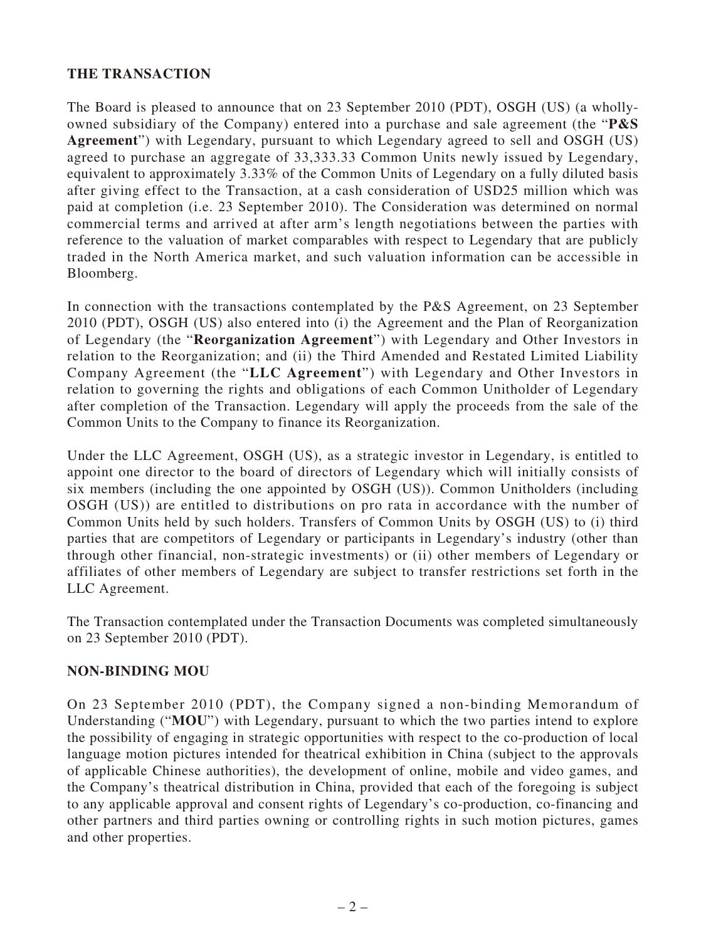### **THE TRANSACTION**

The Board is pleased to announce that on 23 September 2010 (PDT), OSGH (US) (a whollyowned subsidiary of the Company) entered into a purchase and sale agreement (the "**P&S Agreement**") with Legendary, pursuant to which Legendary agreed to sell and OSGH (US) agreed to purchase an aggregate of 33,333.33 Common Units newly issued by Legendary, equivalent to approximately 3.33% of the Common Units of Legendary on a fully diluted basis after giving effect to the Transaction, at a cash consideration of USD25 million which was paid at completion (i.e. 23 September 2010). The Consideration was determined on normal commercial terms and arrived at after arm's length negotiations between the parties with reference to the valuation of market comparables with respect to Legendary that are publicly traded in the North America market, and such valuation information can be accessible in Bloomberg.

In connection with the transactions contemplated by the P&S Agreement, on 23 September 2010 (PDT), OSGH (US) also entered into (i) the Agreement and the Plan of Reorganization of Legendary (the "**Reorganization Agreement**") with Legendary and Other Investors in relation to the Reorganization; and (ii) the Third Amended and Restated Limited Liability Company Agreement (the "**LLC Agreement**") with Legendary and Other Investors in relation to governing the rights and obligations of each Common Unitholder of Legendary after completion of the Transaction. Legendary will apply the proceeds from the sale of the Common Units to the Company to finance its Reorganization.

Under the LLC Agreement, OSGH (US), as a strategic investor in Legendary, is entitled to appoint one director to the board of directors of Legendary which will initially consists of six members (including the one appointed by OSGH (US)). Common Unitholders (including OSGH (US)) are entitled to distributions on pro rata in accordance with the number of Common Units held by such holders. Transfers of Common Units by OSGH (US) to (i) third parties that are competitors of Legendary or participants in Legendary's industry (other than through other financial, non-strategic investments) or (ii) other members of Legendary or affiliates of other members of Legendary are subject to transfer restrictions set forth in the LLC Agreement.

The Transaction contemplated under the Transaction Documents was completed simultaneously on 23 September 2010 (PDT).

#### **NON-BINDING MOU**

On 23 September 2010 (PDT), the Company signed a non-binding Memorandum of Understanding ("**MOU**") with Legendary, pursuant to which the two parties intend to explore the possibility of engaging in strategic opportunities with respect to the co-production of local language motion pictures intended for theatrical exhibition in China (subject to the approvals of applicable Chinese authorities), the development of online, mobile and video games, and the Company's theatrical distribution in China, provided that each of the foregoing is subject to any applicable approval and consent rights of Legendary's co-production, co-financing and other partners and third parties owning or controlling rights in such motion pictures, games and other properties.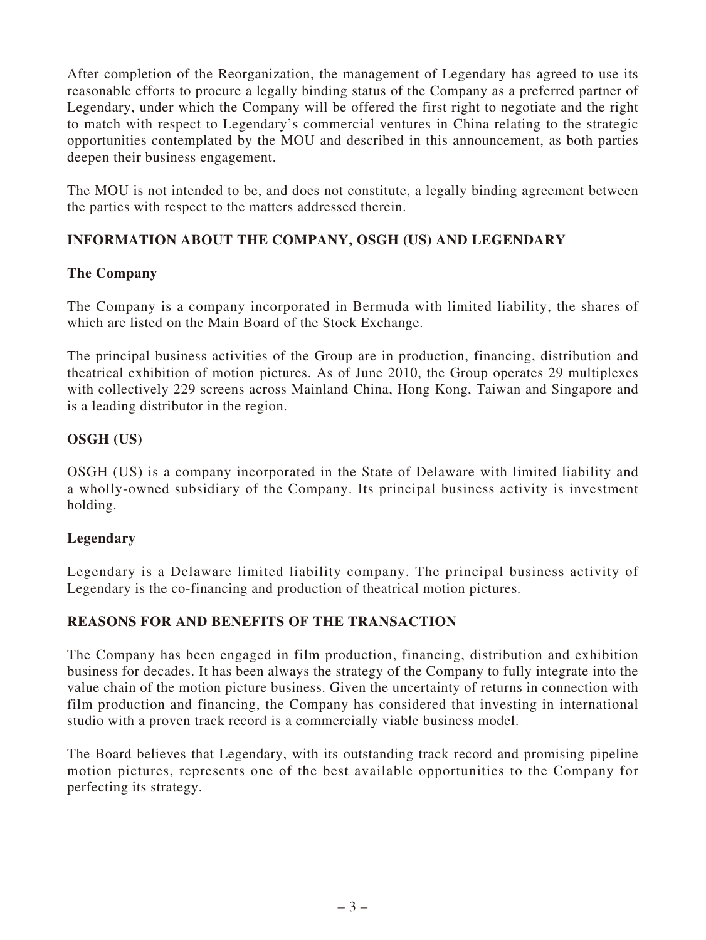After completion of the Reorganization, the management of Legendary has agreed to use its reasonable efforts to procure a legally binding status of the Company as a preferred partner of Legendary, under which the Company will be offered the first right to negotiate and the right to match with respect to Legendary's commercial ventures in China relating to the strategic opportunities contemplated by the MOU and described in this announcement, as both parties deepen their business engagement.

The MOU is not intended to be, and does not constitute, a legally binding agreement between the parties with respect to the matters addressed therein.

## **INFORMATION ABOUT THE COMPANY, OSGH (US) AND LEGENDARY**

#### **The Company**

The Company is a company incorporated in Bermuda with limited liability, the shares of which are listed on the Main Board of the Stock Exchange.

The principal business activities of the Group are in production, financing, distribution and theatrical exhibition of motion pictures. As of June 2010, the Group operates 29 multiplexes with collectively 229 screens across Mainland China, Hong Kong, Taiwan and Singapore and is a leading distributor in the region.

## **OSGH (US)**

OSGH (US) is a company incorporated in the State of Delaware with limited liability and a wholly-owned subsidiary of the Company. Its principal business activity is investment holding.

#### **Legendary**

Legendary is a Delaware limited liability company. The principal business activity of Legendary is the co-financing and production of theatrical motion pictures.

## **REASONS FOR AND BENEFITS OF THE TRANSACTION**

The Company has been engaged in film production, financing, distribution and exhibition business for decades. It has been always the strategy of the Company to fully integrate into the value chain of the motion picture business. Given the uncertainty of returns in connection with film production and financing, the Company has considered that investing in international studio with a proven track record is a commercially viable business model.

The Board believes that Legendary, with its outstanding track record and promising pipeline motion pictures, represents one of the best available opportunities to the Company for perfecting its strategy.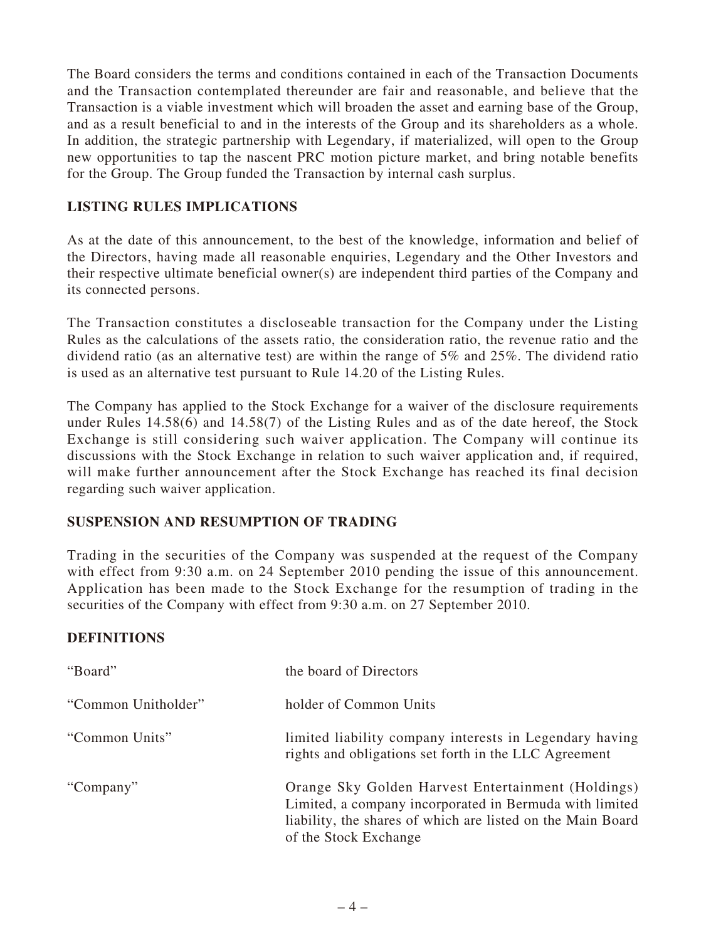The Board considers the terms and conditions contained in each of the Transaction Documents and the Transaction contemplated thereunder are fair and reasonable, and believe that the Transaction is a viable investment which will broaden the asset and earning base of the Group, and as a result beneficial to and in the interests of the Group and its shareholders as a whole. In addition, the strategic partnership with Legendary, if materialized, will open to the Group new opportunities to tap the nascent PRC motion picture market, and bring notable benefits for the Group. The Group funded the Transaction by internal cash surplus.

### **LISTING RULES IMPLICATIONS**

As at the date of this announcement, to the best of the knowledge, information and belief of the Directors, having made all reasonable enquiries, Legendary and the Other Investors and their respective ultimate beneficial owner(s) are independent third parties of the Company and its connected persons.

The Transaction constitutes a discloseable transaction for the Company under the Listing Rules as the calculations of the assets ratio, the consideration ratio, the revenue ratio and the dividend ratio (as an alternative test) are within the range of 5% and 25%. The dividend ratio is used as an alternative test pursuant to Rule 14.20 of the Listing Rules.

The Company has applied to the Stock Exchange for a waiver of the disclosure requirements under Rules 14.58(6) and 14.58(7) of the Listing Rules and as of the date hereof, the Stock Exchange is still considering such waiver application. The Company will continue its discussions with the Stock Exchange in relation to such waiver application and, if required, will make further announcement after the Stock Exchange has reached its final decision regarding such waiver application.

#### **SUSPENSION AND RESUMPTION OF TRADING**

Trading in the securities of the Company was suspended at the request of the Company with effect from 9:30 a.m. on 24 September 2010 pending the issue of this announcement. Application has been made to the Stock Exchange for the resumption of trading in the securities of the Company with effect from 9:30 a.m. on 27 September 2010.

#### **DEFINITIONS**

| "Board"             | the board of Directors                                                                                                                                                                                |
|---------------------|-------------------------------------------------------------------------------------------------------------------------------------------------------------------------------------------------------|
| "Common Unitholder" | holder of Common Units                                                                                                                                                                                |
| "Common Units"      | limited liability company interests in Legendary having<br>rights and obligations set forth in the LLC Agreement                                                                                      |
| "Company"           | Orange Sky Golden Harvest Entertainment (Holdings)<br>Limited, a company incorporated in Bermuda with limited<br>liability, the shares of which are listed on the Main Board<br>of the Stock Exchange |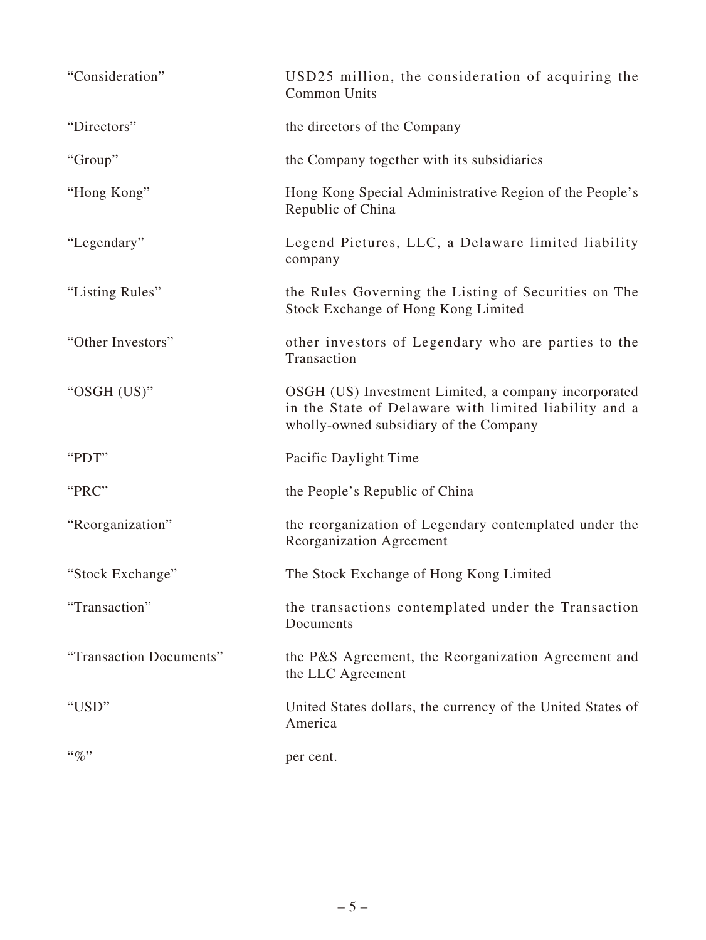| "Consideration"         | USD25 million, the consideration of acquiring the<br><b>Common Units</b>                                                                                |
|-------------------------|---------------------------------------------------------------------------------------------------------------------------------------------------------|
| "Directors"             | the directors of the Company                                                                                                                            |
| "Group"                 | the Company together with its subsidiaries                                                                                                              |
| "Hong Kong"             | Hong Kong Special Administrative Region of the People's<br>Republic of China                                                                            |
| "Legendary"             | Legend Pictures, LLC, a Delaware limited liability<br>company                                                                                           |
| "Listing Rules"         | the Rules Governing the Listing of Securities on The<br>Stock Exchange of Hong Kong Limited                                                             |
| "Other Investors"       | other investors of Legendary who are parties to the<br>Transaction                                                                                      |
| "OSGH (US)"             | OSGH (US) Investment Limited, a company incorporated<br>in the State of Delaware with limited liability and a<br>wholly-owned subsidiary of the Company |
| "PDT"                   | Pacific Daylight Time                                                                                                                                   |
| "PRC"                   | the People's Republic of China                                                                                                                          |
| "Reorganization"        | the reorganization of Legendary contemplated under the<br>Reorganization Agreement                                                                      |
| "Stock Exchange"        | The Stock Exchange of Hong Kong Limited                                                                                                                 |
| "Transaction"           | the transactions contemplated under the Transaction<br>Documents                                                                                        |
| "Transaction Documents" | the P&S Agreement, the Reorganization Agreement and<br>the LLC Agreement                                                                                |
| "USD"                   | United States dollars, the currency of the United States of<br>America                                                                                  |
| $``\%"$                 | per cent.                                                                                                                                               |